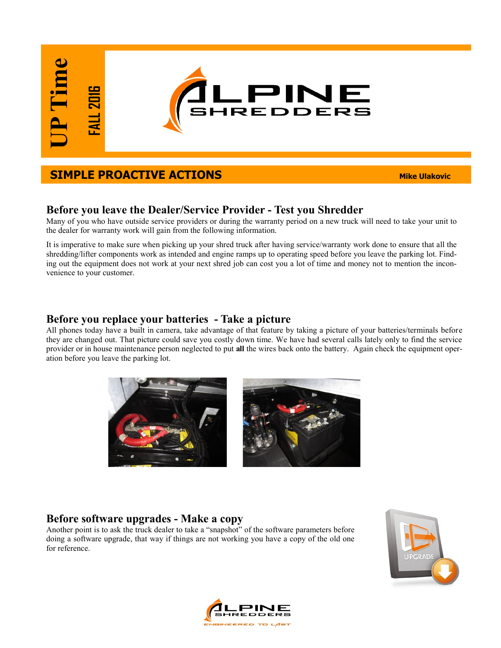# **SIMPLE PROACTIVE ACTIONS** *Mike Ulakovic*

### **Before you leave the Dealer/Service Provider - Test you Shredder**

Many of you who have outside service providers or during the warranty period on a new truck will need to take your unit to the dealer for warranty work will gain from the following information.

It is imperative to make sure when picking up your shred truck after having service/warranty work done to ensure that all the shredding/lifter components work as intended and engine ramps up to operating speed before you leave the parking lot. Finding out the equipment does not work at your next shred job can cost you a lot of time and money not to mention the inconvenience to your customer.

#### **Before you replace your batteries - Take a picture**

All phones today have a built in camera, take advantage of that feature by taking a picture of your batteries/terminals before they are changed out. That picture could save you costly down time. We have had several calls lately only to find the service provider or in house maintenance person neglected to put **all** the wires back onto the battery. Again check the equipment operation before you leave the parking lot.



## **Before software upgrades - Make a copy**

Another point is to ask the truck dealer to take a "snapshot" of the software parameters before doing a software upgrade, that way if things are not working you have a copy of the old one for reference.



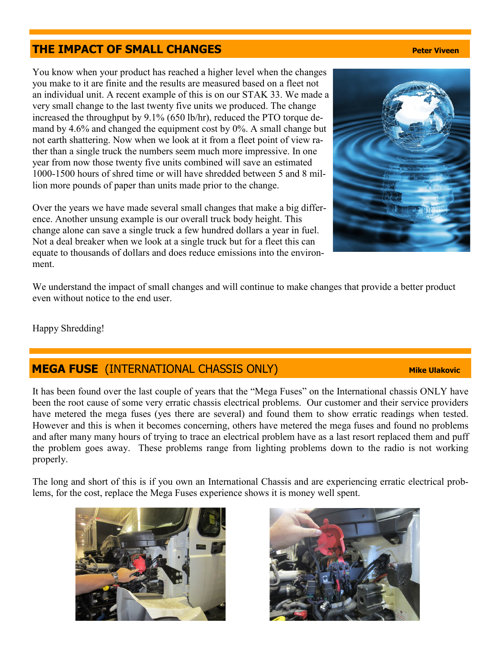# **THE IMPACT OF SMALL CHANGES Peter Viveen**

You know when your product has reached a higher level when the changes you make to it are finite and the results are measured based on a fleet not an individual unit. A recent example of this is on our STAK 33. We made a very small change to the last twenty five units we produced. The change increased the throughput by 9.1% (650 lb/hr), reduced the PTO torque demand by 4.6% and changed the equipment cost by 0%. A small change but not earth shattering. Now when we look at it from a fleet point of view rather than a single truck the numbers seem much more impressive. In one year from now those twenty five units combined will save an estimated 1000-1500 hours of shred time or will have shredded between 5 and 8 million more pounds of paper than units made prior to the change.

Over the years we have made several small changes that make a big difference. Another unsung example is our overall truck body height. This change alone can save a single truck a few hundred dollars a year in fuel. Not a deal breaker when we look at a single truck but for a fleet this can equate to thousands of dollars and does reduce emissions into the environment.

We understand the impact of small changes and will continue to make changes that provide a better product even without notice to the end user.

Happy Shredding!

# **MEGA FUSE** (INTERNATIONAL CHASSIS ONLY) **Mike Ulakovic**

It has been found over the last couple of years that the "Mega Fuses" on the International chassis ONLY have been the root cause of some very erratic chassis electrical problems. Our customer and their service providers have metered the mega fuses (yes there are several) and found them to show erratic readings when tested. However and this is when it becomes concerning, others have metered the mega fuses and found no problems and after many many hours of trying to trace an electrical problem have as a last resort replaced them and puff the problem goes away. These problems range from lighting problems down to the radio is not working properly.

The long and short of this is if you own an International Chassis and are experiencing erratic electrical problems, for the cost, replace the Mega Fuses experience shows it is money well spent.